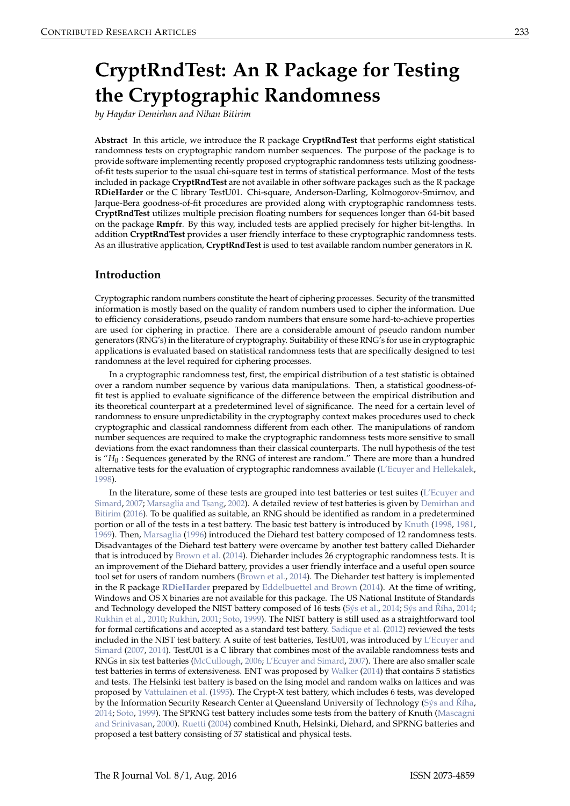# <span id="page-0-0"></span>**CryptRndTest: An R Package for Testing the Cryptographic Randomness**

*by Haydar Demirhan and Nihan Bitirim*

**Abstract** In this article, we introduce the R package **CryptRndTest** that performs eight statistical randomness tests on cryptographic random number sequences. The purpose of the package is to provide software implementing recently proposed cryptographic randomness tests utilizing goodnessof-fit tests superior to the usual chi-square test in terms of statistical performance. Most of the tests included in package **CryptRndTest** are not available in other software packages such as the R package **RDieHarder** or the C library TestU01. Chi-square, Anderson-Darling, Kolmogorov-Smirnov, and Jarque-Bera goodness-of-fit procedures are provided along with cryptographic randomness tests. **CryptRndTest** utilizes multiple precision floating numbers for sequences longer than 64-bit based on the package **Rmpfr**. By this way, included tests are applied precisely for higher bit-lengths. In addition **CryptRndTest** provides a user friendly interface to these cryptographic randomness tests. As an illustrative application, **CryptRndTest** is used to test available random number generators in R.

# **Introduction**

Cryptographic random numbers constitute the heart of ciphering processes. Security of the transmitted information is mostly based on the quality of random numbers used to cipher the information. Due to efficiency considerations, pseudo random numbers that ensure some hard-to-achieve properties are used for ciphering in practice. There are a considerable amount of pseudo random number generators (RNG's) in the literature of cryptography. Suitability of these RNG's for use in cryptographic applications is evaluated based on statistical randomness tests that are specifically designed to test randomness at the level required for ciphering processes.

In a cryptographic randomness test, first, the empirical distribution of a test statistic is obtained over a random number sequence by various data manipulations. Then, a statistical goodness-offit test is applied to evaluate significance of the difference between the empirical distribution and its theoretical counterpart at a predetermined level of significance. The need for a certain level of randomness to ensure unpredictability in the cryptography context makes procedures used to check cryptographic and classical randomness different from each other. The manipulations of random number sequences are required to make the cryptographic randomness tests more sensitive to small deviations from the exact randomness than their classical counterparts. The null hypothesis of the test is "*H*<sup>0</sup> : Sequences generated by the RNG of interest are random." There are more than a hundred alternative tests for the evaluation of cryptographic randomness available [\(L'Ecuyer and Hellekalek,](#page-12-0) [1998\)](#page-12-0).

In the literature, some of these tests are grouped into test batteries or test suites [\(L'Ecuyer and](#page-12-1) [Simard,](#page-12-1) [2007;](#page-12-1) [Marsaglia and Tsang,](#page-13-0) [2002\)](#page-13-0). A detailed review of test batteries is given by [Demirhan and](#page-12-2) [Bitirim](#page-12-2) [\(2016\)](#page-12-2). To be qualified as suitable, an RNG should be identified as random in a predetermined portion or all of the tests in a test battery. The basic test battery is introduced by [Knuth](#page-12-3) [\(1998,](#page-12-3) [1981,](#page-12-4) [1969\)](#page-12-5). Then, [Marsaglia](#page-13-1) [\(1996\)](#page-13-1) introduced the Diehard test battery composed of 12 randomness tests. Disadvantages of the Diehard test battery were overcame by another test battery called Dieharder that is introduced by [Brown et al.](#page-12-6) [\(2014\)](#page-12-6). Dieharder includes 26 cryptographic randomness tests. It is an improvement of the Diehard battery, provides a user friendly interface and a useful open source tool set for users of random numbers [\(Brown et al.,](#page-12-6) [2014\)](#page-12-6). The Dieharder test battery is implemented in the R package **[RDieHarder](http://CRAN.R-project.org/package=RDieHarder)** prepared by [Eddelbuettel and Brown](#page-12-7) [\(2014\)](#page-12-7). At the time of writing, Windows and OS X binaries are not available for this package. The US National Institute of Standards and Technology developed the NIST battery composed of 16 tests [\(Sýs et al.,](#page-13-2) [2014;](#page-13-3) [Sýs and](#page-13-3) Říha, 2014; [Rukhin et al.,](#page-13-4) [2010;](#page-13-4) [Rukhin,](#page-13-5) [2001;](#page-13-5) [Soto,](#page-13-6) [1999\)](#page-13-6). The NIST battery is still used as a straightforward tool for formal certifications and accepted as a standard test battery. [Sadique et al.](#page-13-7) [\(2012\)](#page-13-7) reviewed the tests included in the NIST test battery. A suite of test batteries, TestU01, was introduced by [L'Ecuyer and](#page-12-1) [Simard](#page-12-1) [\(2007,](#page-12-1) [2014\)](#page-12-8). TestU01 is a C library that combines most of the available randomness tests and RNGs in six test batteries [\(McCullough,](#page-13-8) [2006;](#page-13-8) [L'Ecuyer and Simard,](#page-12-1) [2007\)](#page-12-1). There are also smaller scale test batteries in terms of extensiveness. ENT was proposed by [Walker](#page-13-9) [\(2014\)](#page-13-9) that contains 5 statistics and tests. The Helsinki test battery is based on the Ising model and random walks on lattices and was proposed by [Vattulainen et al.](#page-13-10) [\(1995\)](#page-13-10). The Crypt-X test battery, which includes 6 tests, was developed by the Information Security Research Center at Queensland University of Technology [\(Sýs and](#page-13-3) Říha, [2014;](#page-13-3) [Soto,](#page-13-6) [1999\)](#page-13-6). The SPRNG test battery includes some tests from the battery of Knuth [\(Mascagni](#page-13-11) [and Srinivasan,](#page-13-11) [2000\)](#page-13-11). [Ruetti](#page-13-12) [\(2004\)](#page-13-12) combined Knuth, Helsinki, Diehard, and SPRNG batteries and proposed a test battery consisting of 37 statistical and physical tests.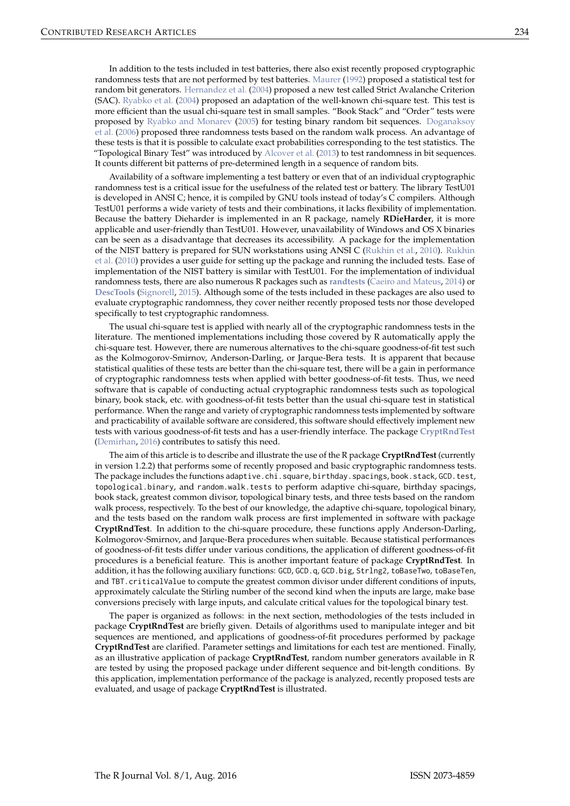<span id="page-1-0"></span>In addition to the tests included in test batteries, there also exist recently proposed cryptographic randomness tests that are not performed by test batteries. [Maurer](#page-13-13) [\(1992\)](#page-13-13) proposed a statistical test for random bit generators. [Hernandez et al.](#page-12-9) [\(2004\)](#page-12-9) proposed a new test called Strict Avalanche Criterion (SAC). [Ryabko et al.](#page-13-14) [\(2004\)](#page-13-14) proposed an adaptation of the well-known chi-square test. This test is more efficient than the usual chi-square test in small samples. "Book Stack" and "Order" tests were proposed by [Ryabko and Monarev](#page-13-15) [\(2005\)](#page-13-15) for testing binary random bit sequences. [Doganaksoy](#page-12-10) [et al.](#page-12-10) [\(2006\)](#page-12-10) proposed three randomness tests based on the random walk process. An advantage of these tests is that it is possible to calculate exact probabilities corresponding to the test statistics. The "Topological Binary Test" was introduced by [Alcover et al.](#page-12-11) [\(2013\)](#page-12-11) to test randomness in bit sequences. It counts different bit patterns of pre-determined length in a sequence of random bits.

Availability of a software implementing a test battery or even that of an individual cryptographic randomness test is a critical issue for the usefulness of the related test or battery. The library TestU01 is developed in ANSI C; hence, it is compiled by GNU tools instead of today's C compilers. Although TestU01 performs a wide variety of tests and their combinations, it lacks flexibility of implementation. Because the battery Dieharder is implemented in an R package, namely **RDieHarder**, it is more applicable and user-friendly than TestU01. However, unavailability of Windows and OS X binaries can be seen as a disadvantage that decreases its accessibility. A package for the implementation of the NIST battery is prepared for SUN workstations using ANSI C [\(Rukhin et al.,](#page-13-4) [2010\)](#page-13-4). [Rukhin](#page-13-4) [et al.](#page-13-4) [\(2010\)](#page-13-4) provides a user guide for setting up the package and running the included tests. Ease of implementation of the NIST battery is similar with TestU01. For the implementation of individual randomness tests, there are also numerous R packages such as **[randtests](http://CRAN.R-project.org/package=randtests)** [\(Caeiro and Mateus,](#page-12-12) [2014\)](#page-12-12) or **[DescTools](http://CRAN.R-project.org/package=DescTools)** [\(Signorell,](#page-13-16) [2015\)](#page-13-16). Although some of the tests included in these packages are also used to evaluate cryptographic randomness, they cover neither recently proposed tests nor those developed specifically to test cryptographic randomness.

The usual chi-square test is applied with nearly all of the cryptographic randomness tests in the literature. The mentioned implementations including those covered by R automatically apply the chi-square test. However, there are numerous alternatives to the chi-square goodness-of-fit test such as the Kolmogorov-Smirnov, Anderson-Darling, or Jarque-Bera tests. It is apparent that because statistical qualities of these tests are better than the chi-square test, there will be a gain in performance of cryptographic randomness tests when applied with better goodness-of-fit tests. Thus, we need software that is capable of conducting actual cryptographic randomness tests such as topological binary, book stack, etc. with goodness-of-fit tests better than the usual chi-square test in statistical performance. When the range and variety of cryptographic randomness tests implemented by software and practicability of available software are considered, this software should effectively implement new tests with various goodness-of-fit tests and has a user-friendly interface. The package **[CryptRndTest](http://CRAN.R-project.org/package=CryptRndTest)** [\(Demirhan,](#page-12-13) [2016\)](#page-12-13) contributes to satisfy this need.

The aim of this article is to describe and illustrate the use of the R package **CryptRndTest** (currently in version 1.2.2) that performs some of recently proposed and basic cryptographic randomness tests. The package includes the functions adaptive.chi.square, birthday.spacings, book.stack, GCD.test, topological.binary, and random.walk.tests to perform adaptive chi-square, birthday spacings, book stack, greatest common divisor, topological binary tests, and three tests based on the random walk process, respectively. To the best of our knowledge, the adaptive chi-square, topological binary, and the tests based on the random walk process are first implemented in software with package **CryptRndTest**. In addition to the chi-square procedure, these functions apply Anderson-Darling, Kolmogorov-Smirnov, and Jarque-Bera procedures when suitable. Because statistical performances of goodness-of-fit tests differ under various conditions, the application of different goodness-of-fit procedures is a beneficial feature. This is another important feature of package **CryptRndTest**. In addition, it has the following auxiliary functions: GCD, GCD.q, GCD.big, Strlng2, toBaseTwo, toBaseTen, and TBT.criticalValue to compute the greatest common divisor under different conditions of inputs, approximately calculate the Stirling number of the second kind when the inputs are large, make base conversions precisely with large inputs, and calculate critical values for the topological binary test.

The paper is organized as follows: in the next section, methodologies of the tests included in package **CryptRndTest** are briefly given. Details of algorithms used to manipulate integer and bit sequences are mentioned, and applications of goodness-of-fit procedures performed by package **CryptRndTest** are clarified. Parameter settings and limitations for each test are mentioned. Finally, as an illustrative application of package **CryptRndTest**, random number generators available in R are tested by using the proposed package under different sequence and bit-length conditions. By this application, implementation performance of the package is analyzed, recently proposed tests are evaluated, and usage of package **CryptRndTest** is illustrated.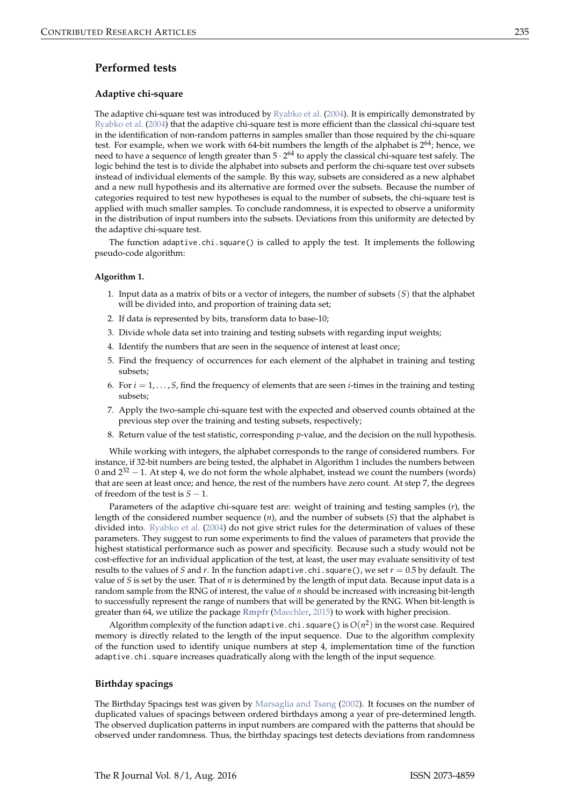# <span id="page-2-0"></span>**Performed tests**

## **Adaptive chi-square**

The adaptive chi-square test was introduced by [Ryabko et al.](#page-13-14) [\(2004\)](#page-13-14). It is empirically demonstrated by [Ryabko et al.](#page-13-14) [\(2004\)](#page-13-14) that the adaptive chi-square test is more efficient than the classical chi-square test in the identification of non-random patterns in samples smaller than those required by the chi-square test. For example, when we work with 64-bit numbers the length of the alphabet is  $2^{64}$ ; hence, we need to have a sequence of length greater than 5  $\cdot$  2<sup>64</sup> to apply the classical chi-square test safely. The logic behind the test is to divide the alphabet into subsets and perform the chi-square test over subsets instead of individual elements of the sample. By this way, subsets are considered as a new alphabet and a new null hypothesis and its alternative are formed over the subsets. Because the number of categories required to test new hypotheses is equal to the number of subsets, the chi-square test is applied with much smaller samples. To conclude randomness, it is expected to observe a uniformity in the distribution of input numbers into the subsets. Deviations from this uniformity are detected by the adaptive chi-square test.

The function adaptive.chi.square() is called to apply the test. It implements the following pseudo-code algorithm:

## **Algorithm 1.**

- 1. Input data as a matrix of bits or a vector of integers, the number of subsets (*S*) that the alphabet will be divided into, and proportion of training data set;
- 2. If data is represented by bits, transform data to base-10;
- 3. Divide whole data set into training and testing subsets with regarding input weights;
- 4. Identify the numbers that are seen in the sequence of interest at least once;
- 5. Find the frequency of occurrences for each element of the alphabet in training and testing subsets;
- 6. For  $i = 1, \ldots, S$ , find the frequency of elements that are seen *i*-times in the training and testing subsets;
- 7. Apply the two-sample chi-square test with the expected and observed counts obtained at the previous step over the training and testing subsets, respectively;
- 8. Return value of the test statistic, corresponding *p*-value, and the decision on the null hypothesis.

While working with integers, the alphabet corresponds to the range of considered numbers. For instance, if 32-bit numbers are being tested, the alphabet in Algorithm 1 includes the numbers between 0 and  $2^{32}$  – 1. At step 4, we do not form the whole alphabet, instead we count the numbers (words) that are seen at least once; and hence, the rest of the numbers have zero count. At step 7, the degrees of freedom of the test is *S* − 1.

Parameters of the adaptive chi-square test are: weight of training and testing samples (*r*), the length of the considered number sequence (*n*), and the number of subsets (*S*) that the alphabet is divided into. [Ryabko et al.](#page-13-14) [\(2004\)](#page-13-14) do not give strict rules for the determination of values of these parameters. They suggest to run some experiments to find the values of parameters that provide the highest statistical performance such as power and specificity. Because such a study would not be cost-effective for an individual application of the test, at least, the user may evaluate sensitivity of test results to the values of *S* and *r*. In the function adaptive.chi.square(), we set *r* = 0.5 by default. The value of *S* is set by the user. That of *n* is determined by the length of input data. Because input data is a random sample from the RNG of interest, the value of *n* should be increased with increasing bit-length to successfully represent the range of numbers that will be generated by the RNG. When bit-length is greater than 64, we utilize the package **[Rmpfr](http://CRAN.R-project.org/package=Rmpfr)** [\(Maechler,](#page-13-17) [2015\)](#page-13-17) to work with higher precision.

Algorithm complexity of the function adaptive . chi . square ( ) is  $O(n^2)$  in the worst case. Required memory is directly related to the length of the input sequence. Due to the algorithm complexity of the function used to identify unique numbers at step 4, implementation time of the function adaptive.chi.square increases quadratically along with the length of the input sequence.

## **Birthday spacings**

The Birthday Spacings test was given by [Marsaglia and Tsang](#page-13-0) [\(2002\)](#page-13-0). It focuses on the number of duplicated values of spacings between ordered birthdays among a year of pre-determined length. The observed duplication patterns in input numbers are compared with the patterns that should be observed under randomness. Thus, the birthday spacings test detects deviations from randomness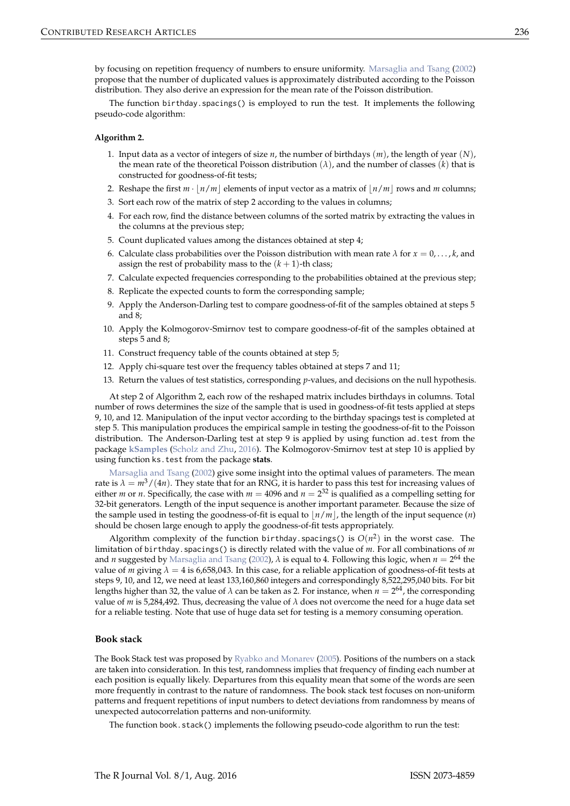<span id="page-3-0"></span>by focusing on repetition frequency of numbers to ensure uniformity. [Marsaglia and Tsang](#page-13-0) [\(2002\)](#page-13-0) propose that the number of duplicated values is approximately distributed according to the Poisson distribution. They also derive an expression for the mean rate of the Poisson distribution.

The function birthday.spacings() is employed to run the test. It implements the following pseudo-code algorithm:

#### **Algorithm 2.**

- 1. Input data as a vector of integers of size *n*, the number of birthdays (*m*), the length of year (*N*), the mean rate of the theoretical Poisson distribution (*λ*), and the number of classes (*k*) that is constructed for goodness-of-fit tests;
- 2. Reshape the first  $m \cdot |n/m|$  elements of input vector as a matrix of  $|n/m|$  rows and *m* columns;
- 3. Sort each row of the matrix of step 2 according to the values in columns;
- 4. For each row, find the distance between columns of the sorted matrix by extracting the values in the columns at the previous step;
- 5. Count duplicated values among the distances obtained at step 4;
- 6. Calculate class probabilities over the Poisson distribution with mean rate  $\lambda$  for  $x = 0, \ldots, k$ , and assign the rest of probability mass to the  $(k + 1)$ -th class;
- 7. Calculate expected frequencies corresponding to the probabilities obtained at the previous step;
- 8. Replicate the expected counts to form the corresponding sample;
- 9. Apply the Anderson-Darling test to compare goodness-of-fit of the samples obtained at steps 5 and 8;
- 10. Apply the Kolmogorov-Smirnov test to compare goodness-of-fit of the samples obtained at steps 5 and 8;
- 11. Construct frequency table of the counts obtained at step 5;
- 12. Apply chi-square test over the frequency tables obtained at steps 7 and 11;
- 13. Return the values of test statistics, corresponding *p*-values, and decisions on the null hypothesis.

At step 2 of Algorithm 2, each row of the reshaped matrix includes birthdays in columns. Total number of rows determines the size of the sample that is used in goodness-of-fit tests applied at steps 9, 10, and 12. Manipulation of the input vector according to the birthday spacings test is completed at step 5. This manipulation produces the empirical sample in testing the goodness-of-fit to the Poisson distribution. The Anderson-Darling test at step 9 is applied by using function ad.test from the package **[kSamples](http://CRAN.R-project.org/package=kSamples)** [\(Scholz and Zhu,](#page-13-18) [2016\)](#page-13-18). The Kolmogorov-Smirnov test at step 10 is applied by using function ks.test from the package **stats**.

[Marsaglia and Tsang](#page-13-0) [\(2002\)](#page-13-0) give some insight into the optimal values of parameters. The mean rate is  $\lambda = m^3/(4n)$ . They state that for an RNG, it is harder to pass this test for increasing values of either *m* or *n*. Specifically, the case with  $m = 4096$  and  $n = 2^{32}$  is qualified as a compelling setting for 32-bit generators. Length of the input sequence is another important parameter. Because the size of the sample used in testing the goodness-of-fit is equal to  $\frac{n}{m}$ , the length of the input sequence  $(n)$ should be chosen large enough to apply the goodness-of-fit tests appropriately.

Algorithm complexity of the function birthday.spacings() is  $O(n^2)$  in the worst case. The limitation of birthday.spacings() is directly related with the value of *m*. For all combinations of *m* and *n* suggested by [Marsaglia and Tsang](#page-13-0) [\(2002\)](#page-13-0), *λ* is equal to 4. Following this logic, when *n* = 2 <sup>64</sup> the value of  $\tilde{m}$  giving  $\lambda = 4$  is 6,658,043. In this case, for a reliable application of goodness-of-fit tests at steps 9, 10, and 12, we need at least 133,160,860 integers and correspondingly 8,522,295,040 bits. For bit lengths higher than 32, the value of  $\lambda$  can be taken as 2. For instance, when  $n=2^{64}$ , the corresponding value of  $m$  is 5,284,492. Thus, decreasing the value of  $\lambda$  does not overcome the need for a huge data set for a reliable testing. Note that use of huge data set for testing is a memory consuming operation.

## **Book stack**

The Book Stack test was proposed by [Ryabko and Monarev](#page-13-15) [\(2005\)](#page-13-15). Positions of the numbers on a stack are taken into consideration. In this test, randomness implies that frequency of finding each number at each position is equally likely. Departures from this equality mean that some of the words are seen more frequently in contrast to the nature of randomness. The book stack test focuses on non-uniform patterns and frequent repetitions of input numbers to detect deviations from randomness by means of unexpected autocorrelation patterns and non-uniformity.

The function book.stack() implements the following pseudo-code algorithm to run the test: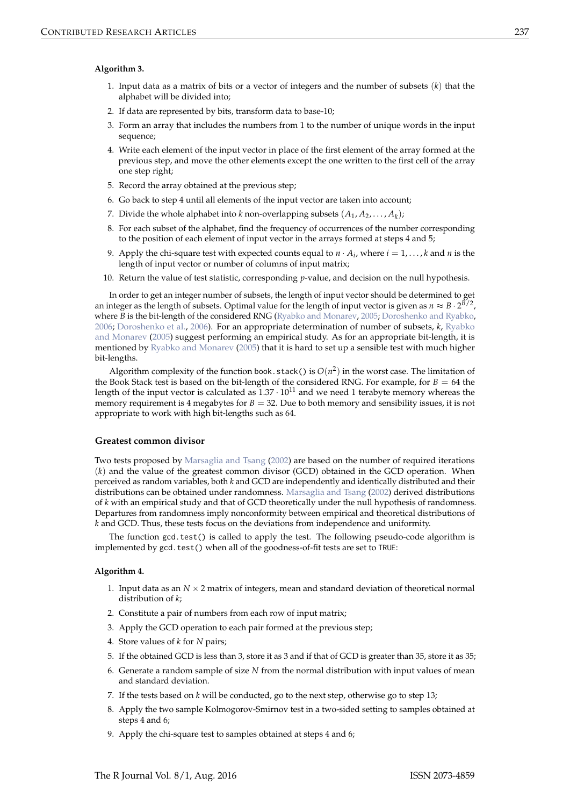#### <span id="page-4-0"></span>**Algorithm 3.**

- 1. Input data as a matrix of bits or a vector of integers and the number of subsets (*k*) that the alphabet will be divided into;
- 2. If data are represented by bits, transform data to base-10;
- 3. Form an array that includes the numbers from 1 to the number of unique words in the input sequence;
- 4. Write each element of the input vector in place of the first element of the array formed at the previous step, and move the other elements except the one written to the first cell of the array one step right;
- 5. Record the array obtained at the previous step;
- 6. Go back to step 4 until all elements of the input vector are taken into account;
- 7. Divide the whole alphabet into *k* non-overlapping subsets  $(A_1, A_2, \ldots, A_k)$ ;
- 8. For each subset of the alphabet, find the frequency of occurrences of the number corresponding to the position of each element of input vector in the arrays formed at steps 4 and 5;
- 9. Apply the chi-square test with expected counts equal to  $n \cdot A_i$ , where  $i = 1, \ldots, k$  and  $n$  is the length of input vector or number of columns of input matrix;
- 10. Return the value of test statistic, corresponding *p*-value, and decision on the null hypothesis.

In order to get an integer number of subsets, the length of input vector should be determined to get an integer as the length of subsets. Optimal value for the length of input vector is given as  $n \approx B \cdot 2^{B/2}$ , where *B* is the bit-length of the considered RNG [\(Ryabko and Monarev,](#page-13-15) [2005;](#page-13-15) [Doroshenko and Ryabko,](#page-12-14) [2006;](#page-12-14) [Doroshenko et al.,](#page-12-15) [2006\)](#page-12-15). For an appropriate determination of number of subsets, *k*, [Ryabko](#page-13-15) [and Monarev](#page-13-15) [\(2005\)](#page-13-15) suggest performing an empirical study. As for an appropriate bit-length, it is mentioned by [Ryabko and Monarev](#page-13-15) [\(2005\)](#page-13-15) that it is hard to set up a sensible test with much higher bit-lengths.

Algorithm complexity of the function book.stack() is  $O(n^2)$  in the worst case. The limitation of the Book Stack test is based on the bit-length of the considered RNG. For example, for  $B = 64$  the length of the input vector is calculated as  $1.37 \cdot 10^{11}$  and we need 1 terabyte memory whereas the memory requirement is 4 megabytes for  $B = 32$ . Due to both memory and sensibility issues, it is not appropriate to work with high bit-lengths such as 64.

#### **Greatest common divisor**

Two tests proposed by [Marsaglia and Tsang](#page-13-0) [\(2002\)](#page-13-0) are based on the number of required iterations (*k*) and the value of the greatest common divisor (GCD) obtained in the GCD operation. When perceived as random variables, both *k* and GCD are independently and identically distributed and their distributions can be obtained under randomness. [Marsaglia and Tsang](#page-13-0) [\(2002\)](#page-13-0) derived distributions of *k* with an empirical study and that of GCD theoretically under the null hypothesis of randomness. Departures from randomness imply nonconformity between empirical and theoretical distributions of *k* and GCD. Thus, these tests focus on the deviations from independence and uniformity.

The function gcd.test() is called to apply the test. The following pseudo-code algorithm is implemented by gcd.test() when all of the goodness-of-fit tests are set to TRUE:

#### **Algorithm 4.**

- 1. Input data as an  $N \times 2$  matrix of integers, mean and standard deviation of theoretical normal distribution of *k*;
- 2. Constitute a pair of numbers from each row of input matrix;
- 3. Apply the GCD operation to each pair formed at the previous step;
- 4. Store values of *k* for *N* pairs;
- 5. If the obtained GCD is less than 3, store it as 3 and if that of GCD is greater than 35, store it as 35;
- 6. Generate a random sample of size *N* from the normal distribution with input values of mean and standard deviation.
- 7. If the tests based on *k* will be conducted, go to the next step, otherwise go to step 13;
- 8. Apply the two sample Kolmogorov-Smirnov test in a two-sided setting to samples obtained at steps 4 and 6;
- 9. Apply the chi-square test to samples obtained at steps 4 and 6;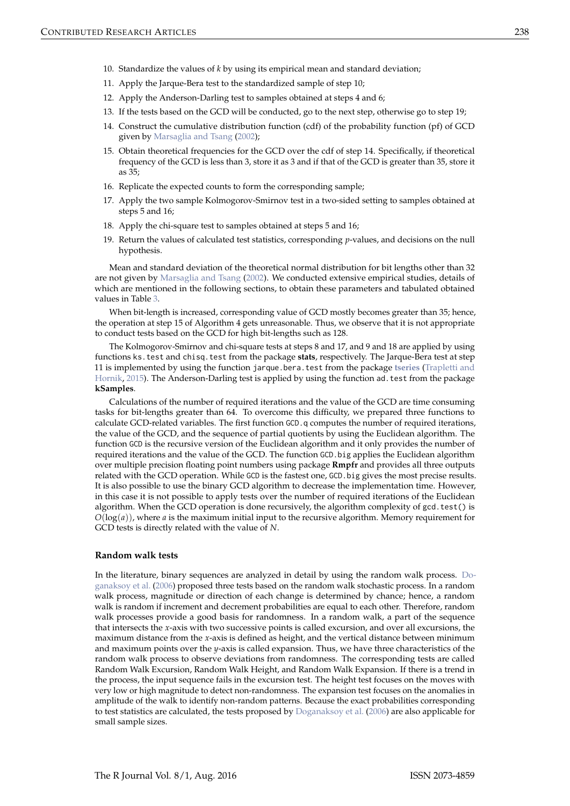- <span id="page-5-0"></span>10. Standardize the values of *k* by using its empirical mean and standard deviation;
- 11. Apply the Jarque-Bera test to the standardized sample of step 10;
- 12. Apply the Anderson-Darling test to samples obtained at steps 4 and 6;
- 13. If the tests based on the GCD will be conducted, go to the next step, otherwise go to step 19;
- 14. Construct the cumulative distribution function (cdf) of the probability function (pf) of GCD given by [Marsaglia and Tsang](#page-13-0) [\(2002\)](#page-13-0);
- 15. Obtain theoretical frequencies for the GCD over the cdf of step 14. Specifically, if theoretical frequency of the GCD is less than 3, store it as 3 and if that of the GCD is greater than 35, store it as 35;
- 16. Replicate the expected counts to form the corresponding sample;
- 17. Apply the two sample Kolmogorov-Smirnov test in a two-sided setting to samples obtained at steps 5 and 16;
- 18. Apply the chi-square test to samples obtained at steps 5 and 16;
- 19. Return the values of calculated test statistics, corresponding *p*-values, and decisions on the null hypothesis.

Mean and standard deviation of the theoretical normal distribution for bit lengths other than 32 are not given by [Marsaglia and Tsang](#page-13-0) [\(2002\)](#page-13-0). We conducted extensive empirical studies, details of which are mentioned in the following sections, to obtain these parameters and tabulated obtained values in Table [3.](#page-9-0)

When bit-length is increased, corresponding value of GCD mostly becomes greater than 35; hence, the operation at step 15 of Algorithm 4 gets unreasonable. Thus, we observe that it is not appropriate to conduct tests based on the GCD for high bit-lengths such as 128.

The Kolmogorov-Smirnov and chi-square tests at steps 8 and 17, and 9 and 18 are applied by using functions ks. test and chisq. test from the package stats, respectively. The Jarque-Bera test at step 11 is implemented by using the function jarque.bera.test from the package **[tseries](http://CRAN.R-project.org/package=tseries)** [\(Trapletti and](#page-13-19) [Hornik,](#page-13-19) [2015\)](#page-13-19). The Anderson-Darling test is applied by using the function ad.test from the package **kSamples**.

Calculations of the number of required iterations and the value of the GCD are time consuming tasks for bit-lengths greater than 64. To overcome this difficulty, we prepared three functions to calculate GCD-related variables. The first function GCD.q computes the number of required iterations, the value of the GCD, and the sequence of partial quotients by using the Euclidean algorithm. The function GCD is the recursive version of the Euclidean algorithm and it only provides the number of required iterations and the value of the GCD. The function GCD.big applies the Euclidean algorithm over multiple precision floating point numbers using package **Rmpfr** and provides all three outputs related with the GCD operation. While GCD is the fastest one, GCD.big gives the most precise results. It is also possible to use the binary GCD algorithm to decrease the implementation time. However, in this case it is not possible to apply tests over the number of required iterations of the Euclidean algorithm. When the GCD operation is done recursively, the algorithm complexity of gcd.test() is  $O(log(a))$ , where *a* is the maximum initial input to the recursive algorithm. Memory requirement for GCD tests is directly related with the value of *N*.

#### **Random walk tests**

In the literature, binary sequences are analyzed in detail by using the random walk process. [Do](#page-12-10)[ganaksoy et al.](#page-12-10) [\(2006\)](#page-12-10) proposed three tests based on the random walk stochastic process. In a random walk process, magnitude or direction of each change is determined by chance; hence, a random walk is random if increment and decrement probabilities are equal to each other. Therefore, random walk processes provide a good basis for randomness. In a random walk, a part of the sequence that intersects the *x*-axis with two successive points is called excursion, and over all excursions, the maximum distance from the *x*-axis is defined as height, and the vertical distance between minimum and maximum points over the *y*-axis is called expansion. Thus, we have three characteristics of the random walk process to observe deviations from randomness. The corresponding tests are called Random Walk Excursion, Random Walk Height, and Random Walk Expansion. If there is a trend in the process, the input sequence fails in the excursion test. The height test focuses on the moves with very low or high magnitude to detect non-randomness. The expansion test focuses on the anomalies in amplitude of the walk to identify non-random patterns. Because the exact probabilities corresponding to test statistics are calculated, the tests proposed by [Doganaksoy et al.](#page-12-10) [\(2006\)](#page-12-10) are also applicable for small sample sizes.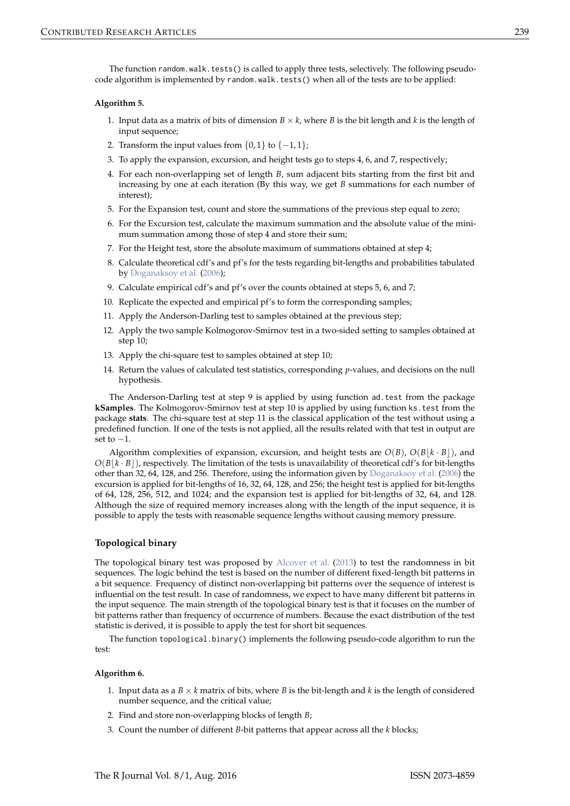<span id="page-6-0"></span>The function random.walk.tests() is called to apply three tests, selectively. The following pseudocode algorithm is implemented by random.walk.tests() when all of the tests are to be applied:

#### **Algorithm 5.**

- 1. Input data as a matrix of bits of dimension  $B \times k$ , where *B* is the bit length and *k* is the length of input sequence;
- 2. Transform the input values from  $\{0,1\}$  to  $\{-1,1\}$ ;
- 3. To apply the expansion, excursion, and height tests go to steps 4, 6, and 7, respectively;
- 4. For each non-overlapping set of length *B*, sum adjacent bits starting from the first bit and increasing by one at each iteration (By this way, we get *B* summations for each number of interest);
- 5. For the Expansion test, count and store the summations of the previous step equal to zero;
- 6. For the Excursion test, calculate the maximum summation and the absolute value of the minimum summation among those of step 4 and store their sum;
- 7. For the Height test, store the absolute maximum of summations obtained at step 4;
- 8. Calculate theoretical cdf's and pf's for the tests regarding bit-lengths and probabilities tabulated by [Doganaksoy et al.](#page-12-10) [\(2006\)](#page-12-10);
- 9. Calculate empirical cdf's and pf's over the counts obtained at steps 5, 6, and 7;
- 10. Replicate the expected and empirical pf's to form the corresponding samples;
- 11. Apply the Anderson-Darling test to samples obtained at the previous step;
- 12. Apply the two sample Kolmogorov-Smirnov test in a two-sided setting to samples obtained at step 10;
- 13. Apply the chi-square test to samples obtained at step 10;
- 14. Return the values of calculated test statistics, corresponding *p*-values, and decisions on the null hypothesis.

The Anderson-Darling test at step 9 is applied by using function ad.test from the package **kSamples**. The Kolmogorov-Smirnov test at step 10 is applied by using function ks.test from the package **stats**. The chi-square test at step 11 is the classical application of the test without using a predefined function. If one of the tests is not applied, all the results related with that test in output are set to  $-1$ .

Algorithm complexities of expansion, excursion, and height tests are  $O(B)$ ,  $O(B|k \cdot B)$ , and  $O(B|k \cdot B|)$ , respectively. The limitation of the tests is unavailability of theoretical cdf's for bit-lengths other than 32, 64, 128, and 256. Therefore, using the information given by [Doganaksoy et al.](#page-12-10) [\(2006\)](#page-12-10) the excursion is applied for bit-lengths of 16, 32, 64, 128, and 256; the height test is applied for bit-lengths of 64, 128, 256, 512, and 1024; and the expansion test is applied for bit-lengths of 32, 64, and 128. Although the size of required memory increases along with the length of the input sequence, it is possible to apply the tests with reasonable sequence lengths without causing memory pressure.

## **Topological binary**

The topological binary test was proposed by [Alcover et al.](#page-12-11) [\(2013\)](#page-12-11) to test the randomness in bit sequences. The logic behind the test is based on the number of different fixed-length bit patterns in a bit sequence. Frequency of distinct non-overlapping bit patterns over the sequence of interest is influential on the test result. In case of randomness, we expect to have many different bit patterns in the input sequence. The main strength of the topological binary test is that it focuses on the number of bit patterns rather than frequency of occurrence of numbers. Because the exact distribution of the test statistic is derived, it is possible to apply the test for short bit sequences.

The function topological.binary() implements the following pseudo-code algorithm to run the test:

#### **Algorithm 6.**

- 1. Input data as a  $B \times k$  matrix of bits, where  $B$  is the bit-length and  $k$  is the length of considered number sequence, and the critical value;
- 2. Find and store non-overlapping blocks of length *B*;
- 3. Count the number of different *B*-bit patterns that appear across all the *k* blocks;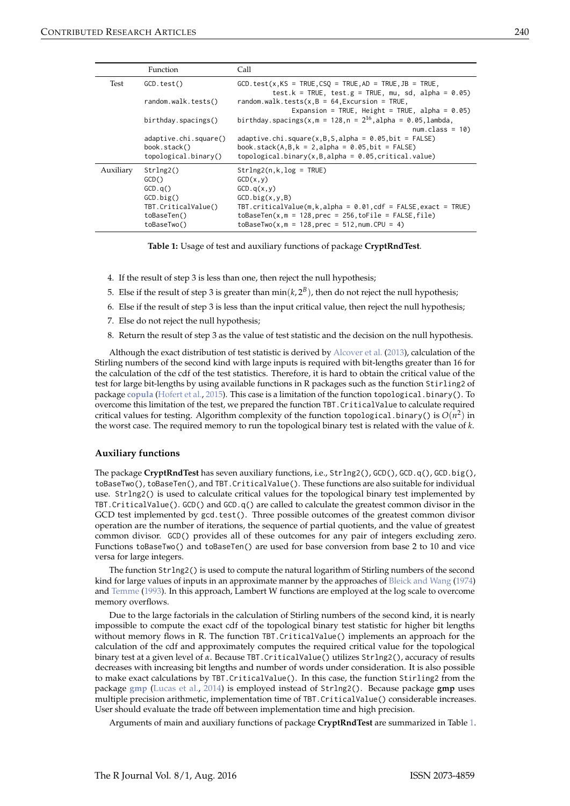<span id="page-7-1"></span><span id="page-7-0"></span>

| Function  |                                                                                                  | Call                                                                                                                                                                                                                                                       |  |  |  |  |  |  |
|-----------|--------------------------------------------------------------------------------------------------|------------------------------------------------------------------------------------------------------------------------------------------------------------------------------------------------------------------------------------------------------------|--|--|--|--|--|--|
| Test      | GCD.test()                                                                                       | $GCD.test(x, KS = TRUE, CSQ = TRUE, AD = TRUE, JB = TRUE,$<br>test.k = TRUE, test.g = TRUE, mu, sd, alpha = $0.05$ )                                                                                                                                       |  |  |  |  |  |  |
|           | random.walk.tests()                                                                              | random.walk.tests $(x, B = 64$ , Excursion = TRUE,                                                                                                                                                                                                         |  |  |  |  |  |  |
|           | birthday.spacings()                                                                              | Expansion = TRUE, Height = TRUE, alpha = $0.05$ )<br>birthday.spacings(x,m = 128,n = $2^{16}$ ,alpha = 0.05,lambda,                                                                                                                                        |  |  |  |  |  |  |
|           | adaptive.chi.square()<br>book.stack()<br>topological.binary()                                    | $num.class = 10$<br>$adaptive.chi.\square, gware(x, B, S, alpha = 0.05, bit = FALSE)$<br>book.stack $(A, B, k = 2,alpha = 0.05, bit = FALSE)$<br>$topological.binary(x, B, alpha = 0.05, critical, value)$                                                 |  |  |  |  |  |  |
| Auxiliary | StrIng2()<br>GCD()<br>GCD. q()<br>GCD.big()<br>TBT.CriticalValue()<br>toBaseTen()<br>toBaseTwo() | $StrIng2(n,k, log = TRUE)$<br>GCD(x, y)<br>GCD.q(x,y)<br>GCD.big(x,y,B)<br>TBT.criticalValue(m,k,alpha = $0.01$ ,cdf = FALSE, exact = TRUE)<br>$toBaseTen(x, m = 128, prec = 256, toFile = FALSE, file)$<br>toBaseTwo(x,m = 128, prec = 512, num. CPU = 4) |  |  |  |  |  |  |

**Table 1:** Usage of test and auxiliary functions of package **CryptRndTest**.

- 4. If the result of step 3 is less than one, then reject the null hypothesis;
- 5. Else if the result of step 3 is greater than  $min(k, 2^B)$ , then do not reject the null hypothesis;
- 6. Else if the result of step 3 is less than the input critical value, then reject the null hypothesis;
- 7. Else do not reject the null hypothesis;
- 8. Return the result of step 3 as the value of test statistic and the decision on the null hypothesis.

Although the exact distribution of test statistic is derived by [Alcover et al.](#page-12-11) [\(2013\)](#page-12-11), calculation of the Stirling numbers of the second kind with large inputs is required with bit-lengths greater than 16 for the calculation of the cdf of the test statistics. Therefore, it is hard to obtain the critical value of the test for large bit-lengths by using available functions in R packages such as the function Stirling2 of package **[copula](http://CRAN.R-project.org/package=copula)** [\(Hofert et al.,](#page-12-16) [2015\)](#page-12-16). This case is a limitation of the function topological.binary(). To overcome this limitation of the test, we prepared the function TBT.CriticalValue to calculate required critical values for testing. Algorithm complexity of the function topological.binary() is  $O(n^2)$  in the worst case. The required memory to run the topological binary test is related with the value of *k*.

#### **Auxiliary functions**

The package **CryptRndTest** has seven auxiliary functions, i.e., Strlng2(), GCD(), GCD.q(), GCD.big(), toBaseTwo(), toBaseTen(), and TBT.CriticalValue(). These functions are also suitable for individual use. Strlng2() is used to calculate critical values for the topological binary test implemented by TBT.CriticalValue(). GCD() and GCD.q() are called to calculate the greatest common divisor in the GCD test implemented by gcd.test(). Three possible outcomes of the greatest common divisor operation are the number of iterations, the sequence of partial quotients, and the value of greatest common divisor. GCD() provides all of these outcomes for any pair of integers excluding zero. Functions toBaseTwo() and toBaseTen() are used for base conversion from base 2 to 10 and vice versa for large integers.

The function Strlng2() is used to compute the natural logarithm of Stirling numbers of the second kind for large values of inputs in an approximate manner by the approaches of [Bleick and Wang](#page-12-17) [\(1974\)](#page-12-17) and [Temme](#page-13-20) [\(1993\)](#page-13-20). In this approach, Lambert W functions are employed at the log scale to overcome memory overflows.

Due to the large factorials in the calculation of Stirling numbers of the second kind, it is nearly impossible to compute the exact cdf of the topological binary test statistic for higher bit lengths without memory flows in R. The function TBT.CriticalValue() implements an approach for the calculation of the cdf and approximately computes the required critical value for the topological binary test at a given level of *α*. Because TBT.CriticalValue() utilizes Strlng2(), accuracy of results decreases with increasing bit lengths and number of words under consideration. It is also possible to make exact calculations by TBT.CriticalValue(). In this case, the function Stirling2 from the package **[gmp](http://CRAN.R-project.org/package=gmp)** [\(Lucas et al.,](#page-12-18) [2014\)](#page-12-18) is employed instead of Strlng2(). Because package **gmp** uses multiple precision arithmetic, implementation time of TBT.CriticalValue() considerable increases. User should evaluate the trade off between implementation time and high precision.

Arguments of main and auxiliary functions of package **CryptRndTest** are summarized in Table [1.](#page-7-0)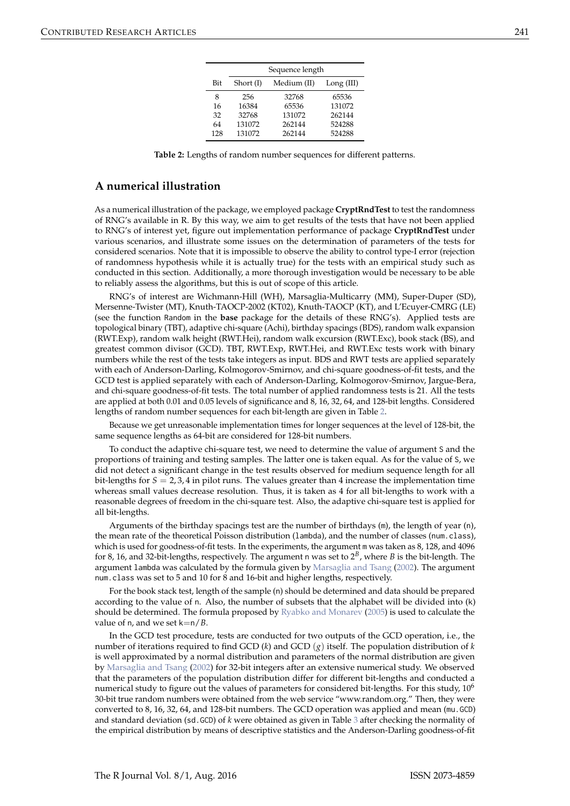<span id="page-8-1"></span><span id="page-8-0"></span>

|     | Sequence length |             |            |  |  |  |  |  |  |  |  |  |
|-----|-----------------|-------------|------------|--|--|--|--|--|--|--|--|--|
| Bit | Short $(I)$     | Medium (II) | Long (III) |  |  |  |  |  |  |  |  |  |
| 8   | 256             | 32768       | 65536      |  |  |  |  |  |  |  |  |  |
| 16  | 16384           | 65536       | 131072     |  |  |  |  |  |  |  |  |  |
| 32  | 32768           | 131072      | 262144     |  |  |  |  |  |  |  |  |  |
| 64  | 131072          | 262144      | 524288     |  |  |  |  |  |  |  |  |  |
| 128 | 131072          | 262144      | 524288     |  |  |  |  |  |  |  |  |  |

**Table 2:** Lengths of random number sequences for different patterns.

# **A numerical illustration**

As a numerical illustration of the package, we employed package **CryptRndTest** to test the randomness of RNG's available in R. By this way, we aim to get results of the tests that have not been applied to RNG's of interest yet, figure out implementation performance of package **CryptRndTest** under various scenarios, and illustrate some issues on the determination of parameters of the tests for considered scenarios. Note that it is impossible to observe the ability to control type-I error (rejection of randomness hypothesis while it is actually true) for the tests with an empirical study such as conducted in this section. Additionally, a more thorough investigation would be necessary to be able to reliably assess the algorithms, but this is out of scope of this article.

RNG's of interest are Wichmann-Hill (WH), Marsaglia-Multicarry (MM), Super-Duper (SD), Mersenne-Twister (MT), Knuth-TAOCP-2002 (KT02), Knuth-TAOCP (KT), and L'Ecuyer-CMRG (LE) (see the function Random in the **base** package for the details of these RNG's). Applied tests are topological binary (TBT), adaptive chi-square (Achi), birthday spacings (BDS), random walk expansion (RWT.Exp), random walk height (RWT.Hei), random walk excursion (RWT.Exc), book stack (BS), and greatest common divisor (GCD). TBT, RWT.Exp, RWT.Hei, and RWT.Exc tests work with binary numbers while the rest of the tests take integers as input. BDS and RWT tests are applied separately with each of Anderson-Darling, Kolmogorov-Smirnov, and chi-square goodness-of-fit tests, and the GCD test is applied separately with each of Anderson-Darling, Kolmogorov-Smirnov, Jargue-Bera, and chi-square goodness-of-fit tests. The total number of applied randomness tests is 21. All the tests are applied at both 0.01 and 0.05 levels of significance and 8, 16, 32, 64, and 128-bit lengths. Considered lengths of random number sequences for each bit-length are given in Table [2.](#page-8-0)

Because we get unreasonable implementation times for longer sequences at the level of 128-bit, the same sequence lengths as 64-bit are considered for 128-bit numbers.

To conduct the adaptive chi-square test, we need to determine the value of argument S and the proportions of training and testing samples. The latter one is taken equal. As for the value of S, we did not detect a significant change in the test results observed for medium sequence length for all bit-lengths for  $S = 2, 3, 4$  in pilot runs. The values greater than 4 increase the implementation time whereas small values decrease resolution. Thus, it is taken as 4 for all bit-lengths to work with a reasonable degrees of freedom in the chi-square test. Also, the adaptive chi-square test is applied for all bit-lengths.

Arguments of the birthday spacings test are the number of birthdays (m), the length of year (n), the mean rate of the theoretical Poisson distribution (lambda), and the number of classes (num.class), which is used for goodness-of-fit tests. In the experiments, the argument m was taken as 8, 128, and 4096 for 8, 16, and 32-bit-lengths, respectively. The argument n was set to  $2^B$ , where  $B$  is the bit-length. The argument lambda was calculated by the formula given by [Marsaglia and Tsang](#page-13-0) [\(2002\)](#page-13-0). The argument num.class was set to 5 and 10 for 8 and 16-bit and higher lengths, respectively.

For the book stack test, length of the sample (n) should be determined and data should be prepared according to the value of n. Also, the number of subsets that the alphabet will be divided into (k) should be determined. The formula proposed by [Ryabko and Monarev](#page-13-15) [\(2005\)](#page-13-15) is used to calculate the value of n, and we set k=n/*B*.

In the GCD test procedure, tests are conducted for two outputs of the GCD operation, i.e., the number of iterations required to find GCD (*k*) and GCD (*g*) itself. The population distribution of *k* is well approximated by a normal distribution and parameters of the normal distribution are given by [Marsaglia and Tsang](#page-13-0) [\(2002\)](#page-13-0) for 32-bit integers after an extensive numerical study. We observed that the parameters of the population distribution differ for different bit-lengths and conducted a numerical study to figure out the values of parameters for considered bit-lengths. For this study, 10<sup>6</sup> 30-bit true random numbers were obtained from the web service "www.random.org." Then, they were converted to 8, 16, 32, 64, and 128-bit numbers. The GCD operation was applied and mean (mu.GCD) and standard deviation (sd.GCD) of *k* were obtained as given in Table [3](#page-9-0) after checking the normality of the empirical distribution by means of descriptive statistics and the Anderson-Darling goodness-of-fit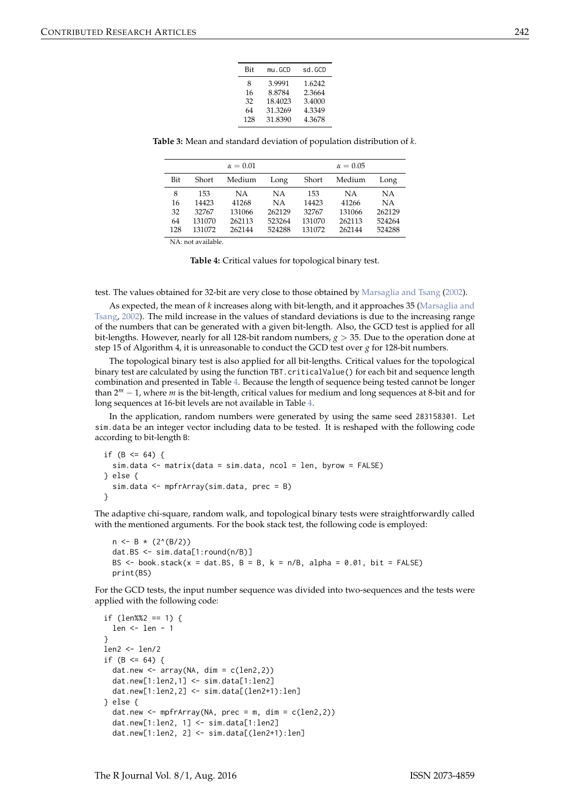| Bit | mu.GCD  | sd.GCD |
|-----|---------|--------|
| 8   | 3.9991  | 1.6242 |
| 16  | 8.8784  | 2.3664 |
| 32  | 18.4023 | 3.4000 |
| 64  | 31.3269 | 4.3349 |
| 128 | 31.8390 | 4.3678 |

<span id="page-9-2"></span><span id="page-9-1"></span><span id="page-9-0"></span>**Table 3:** Mean and standard deviation of population distribution of *k*.

|     |        | $\alpha = 0.01$ |        |        | $\alpha = 0.05$ |           |
|-----|--------|-----------------|--------|--------|-----------------|-----------|
| Bit | Short  | Medium          | Long   | Short  | Medium          | Long      |
| 8   | 153    | NA              | NΑ     | 153    | <b>NA</b>       | NΑ        |
| 16  | 14423  | 41268           | NΑ     | 14423  | 41266           | <b>NA</b> |
| 32  | 32767  | 131066          | 262129 | 32767  | 131066          | 262129    |
| 64  | 131070 | 262113          | 523264 | 131070 | 262113          | 524264    |
| 128 | 131072 | 262144          | 524288 | 131072 | 262144          | 524288    |

NA: not available.

**Table 4:** Critical values for topological binary test.

test. The values obtained for 32-bit are very close to those obtained by [Marsaglia and Tsang](#page-13-0) [\(2002\)](#page-13-0).

As expected, the mean of *k* increases along with bit-length, and it approaches 35 [\(Marsaglia and](#page-13-0) [Tsang,](#page-13-0) [2002\)](#page-13-0). The mild increase in the values of standard deviations is due to the increasing range of the numbers that can be generated with a given bit-length. Also, the GCD test is applied for all bit-lengths. However, nearly for all 128-bit random numbers, *g* > 35. Due to the operation done at step 15 of Algorithm 4, it is unreasonable to conduct the GCD test over *g* for 128-bit numbers.

The topological binary test is also applied for all bit-lengths. Critical values for the topological binary test are calculated by using the function TBT.criticalValue() for each bit and sequence length combination and presented in Table [4.](#page-9-1) Because the length of sequence being tested cannot be longer than 2 *<sup>m</sup>* − 1, where *m* is the bit-length, critical values for medium and long sequences at 8-bit and for long sequences at 16-bit levels are not available in Table [4.](#page-9-1)

In the application, random numbers were generated by using the same seed 283158301. Let sim.data be an integer vector including data to be tested. It is reshaped with the following code according to bit-length B:

```
if (B \le 64) {
  sim.data <- matrix(data = sim.data, ncol = len, byrow = FALSE)
} else {
  sim.data <- mpfrArray(sim.data, prec = B)
}
```
The adaptive chi-square, random walk, and topological binary tests were straightforwardly called with the mentioned arguments. For the book stack test, the following code is employed:

```
n \leq -B * (2^{(B/2)})dat.BS <- sim.data[1:round(n/B)]
BS \le book.stack(x = dat.BS, B = B, k = n/B, alpha = 0.01, bit = FALSE)
print(BS)
```
For the GCD tests, the input number sequence was divided into two-sequences and the tests were applied with the following code:

```
if (len%%2 == 1) {
  len <- len - 1
}
len2 <- len/2
if (B \le 64) {
  dat.new \leq array(NA, dim = c(len2,2))dat.new[1:len2,1] <- sim.data[1:len2]
  dat.new[1:len2,2] <- sim.data[(len2+1):len]
} else {
  dat.new \leq mpfrArray(NA, prec = m, dim = c(len2,2))dat.new[1:len2, 1] < - sim.data[1:len2]dat.new[1:len2, 2] <- sim.data[(len2+1):len]
```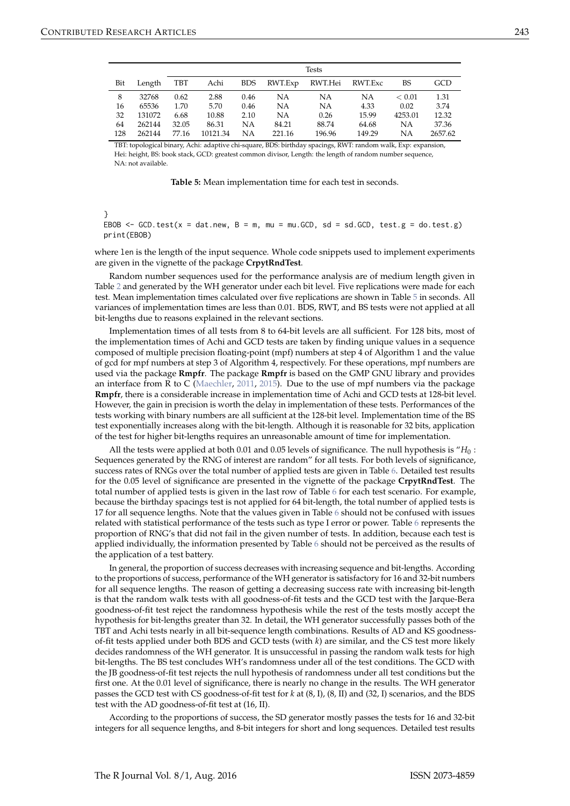<span id="page-10-1"></span><span id="page-10-0"></span>

|     |        | <b>Tests</b> |          |            |           |         |         |            |         |  |  |  |  |  |
|-----|--------|--------------|----------|------------|-----------|---------|---------|------------|---------|--|--|--|--|--|
| Bit | Length | TBT          | Achi     | <b>BDS</b> | RWT.Exp   | RWT.Hei | RWT.Exc | BS         | GCD     |  |  |  |  |  |
| 8   | 32768  | 0.62         | 2.88     | 0.46       | NΑ        | NΑ      | NΑ      | ${}< 0.01$ | 1.31    |  |  |  |  |  |
| 16  | 65536  | 1.70         | 5.70     | 0.46       | NΑ        | NΑ      | 4.33    | 0.02       | 3.74    |  |  |  |  |  |
| 32  | 131072 | 6.68         | 10.88    | 2.10       | <b>NA</b> | 0.26    | 15.99   | 4253.01    | 12.32   |  |  |  |  |  |
| 64  | 262144 | 32.05        | 86.31    | NΑ         | 84.21     | 88.74   | 64.68   | NΑ         | 37.36   |  |  |  |  |  |
| 128 | 262144 | 77.16        | 10121.34 | NΑ         | 221.16    | 196.96  | 149.29  | NΑ         | 2657.62 |  |  |  |  |  |

TBT: topological binary, Achi: adaptive chi-square, BDS: birthday spacings, RWT: random walk, Exp: expansion, Hei: height, BS: book stack, GCD: greatest common divisor, Length: the length of random number sequence, NA: not available.

**Table 5:** Mean implementation time for each test in seconds.

} EBOB  $\leq$  GCD.test(x = dat.new, B = m, mu = mu.GCD, sd = sd.GCD, test.g = do.test.g) print(EBOB)

where len is the length of the input sequence. Whole code snippets used to implement experiments are given in the vignette of the package **CrpytRndTest**.

Random number sequences used for the performance analysis are of medium length given in Table [2](#page-8-0) and generated by the WH generator under each bit level. Five replications were made for each test. Mean implementation times calculated over five replications are shown in Table [5](#page-10-0) in seconds. All variances of implementation times are less than 0.01. BDS, RWT, and BS tests were not applied at all bit-lengths due to reasons explained in the relevant sections.

Implementation times of all tests from 8 to 64-bit levels are all sufficient. For 128 bits, most of the implementation times of Achi and GCD tests are taken by finding unique values in a sequence composed of multiple precision floating-point (mpf) numbers at step 4 of Algorithm 1 and the value of gcd for mpf numbers at step 3 of Algorithm 4, respectively. For these operations, mpf numbers are used via the package **Rmpfr**. The package **Rmpfr** is based on the GMP GNU library and provides an interface from R to C [\(Maechler,](#page-13-21) [2011,](#page-13-21) [2015\)](#page-13-17). Due to the use of mpf numbers via the package **Rmpfr**, there is a considerable increase in implementation time of Achi and GCD tests at 128-bit level. However, the gain in precision is worth the delay in implementation of these tests. Performances of the tests working with binary numbers are all sufficient at the 128-bit level. Implementation time of the BS test exponentially increases along with the bit-length. Although it is reasonable for 32 bits, application of the test for higher bit-lengths requires an unreasonable amount of time for implementation.

All the tests were applied at both 0.01 and 0.05 levels of significance. The null hypothesis is "*H*<sup>0</sup> : Sequences generated by the RNG of interest are random" for all tests. For both levels of significance, success rates of RNGs over the total number of applied tests are given in Table [6.](#page-11-0) Detailed test results for the 0.05 level of significance are presented in the vignette of the package **CrpytRndTest**. The total number of applied tests is given in the last row of Table [6](#page-11-0) for each test scenario. For example, because the birthday spacings test is not applied for 64 bit-length, the total number of applied tests is 17 for all sequence lengths. Note that the values given in Table [6](#page-11-0) should not be confused with issues related with statistical performance of the tests such as type I error or power. Table [6](#page-11-0) represents the proportion of RNG's that did not fail in the given number of tests. In addition, because each test is applied individually, the information presented by Table [6](#page-11-0) should not be perceived as the results of the application of a test battery.

In general, the proportion of success decreases with increasing sequence and bit-lengths. According to the proportions of success, performance of the WH generator is satisfactory for 16 and 32-bit numbers for all sequence lengths. The reason of getting a decreasing success rate with increasing bit-length is that the random walk tests with all goodness-of-fit tests and the GCD test with the Jarque-Bera goodness-of-fit test reject the randomness hypothesis while the rest of the tests mostly accept the hypothesis for bit-lengths greater than 32. In detail, the WH generator successfully passes both of the TBT and Achi tests nearly in all bit-sequence length combinations. Results of AD and KS goodnessof-fit tests applied under both BDS and GCD tests (with *k*) are similar, and the CS test more likely decides randomness of the WH generator. It is unsuccessful in passing the random walk tests for high bit-lengths. The BS test concludes WH's randomness under all of the test conditions. The GCD with the JB goodness-of-fit test rejects the null hypothesis of randomness under all test conditions but the first one. At the 0.01 level of significance, there is nearly no change in the results. The WH generator passes the GCD test with CS goodness-of-fit test for *k* at (8, I), (8, II) and (32, I) scenarios, and the BDS test with the AD goodness-of-fit test at (16, II).

According to the proportions of success, the SD generator mostly passes the tests for 16 and 32-bit integers for all sequence lengths, and 8-bit integers for short and long sequences. Detailed test results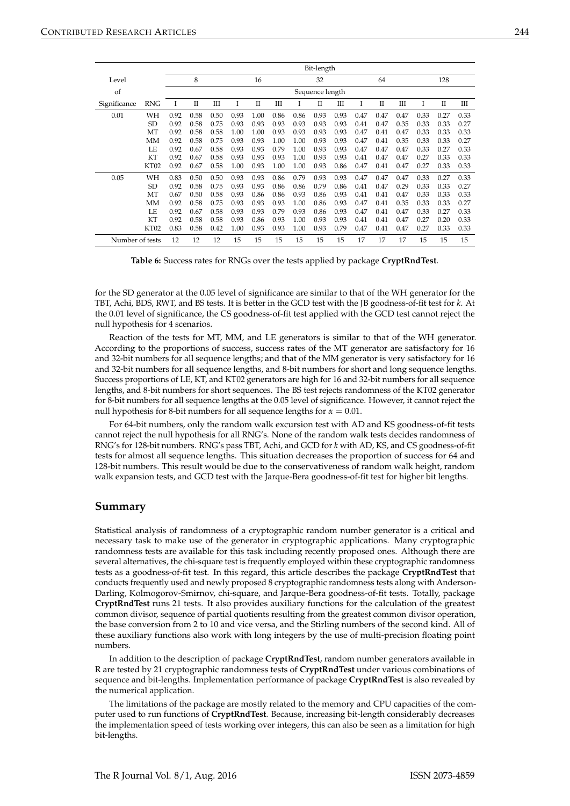<span id="page-11-0"></span>

|                 |            |      | Bit-length |      |                 |      |      |      |      |      |      |             |      |      |      |      |
|-----------------|------------|------|------------|------|-----------------|------|------|------|------|------|------|-------------|------|------|------|------|
| Level           |            |      | 8          |      |                 | 16   |      |      | 32   |      |      | 64          |      |      | 128  |      |
| of              |            |      |            |      | Sequence length |      |      |      |      |      |      |             |      |      |      |      |
| Significance    | <b>RNG</b> |      | П          | Ш    | I               | П    | Ш    | I    | П    | Ш    | I    | $_{\rm II}$ | Ш    | I    | П    | Ш    |
| 0.01            | WH         | 0.92 | 0.58       | 0.50 | 0.93            | 1.00 | 0.86 | 0.86 | 0.93 | 0.93 | 0.47 | 0.47        | 0.47 | 0.33 | 0.27 | 0.33 |
|                 | <b>SD</b>  | 0.92 | 0.58       | 0.75 | 0.93            | 0.93 | 0.93 | 0.93 | 0.93 | 0.93 | 0.41 | 0.47        | 0.35 | 0.33 | 0.33 | 0.27 |
|                 | MT         | 0.92 | 0.58       | 0.58 | 1.00            | 1.00 | 0.93 | 0.93 | 0.93 | 0.93 | 0.47 | 0.41        | 0.47 | 0.33 | 0.33 | 0.33 |
|                 | <b>MM</b>  | 0.92 | 0.58       | 0.75 | 0.93            | 0.93 | 1.00 | 1.00 | 0.93 | 0.93 | 0.47 | 0.41        | 0.35 | 0.33 | 0.33 | 0.27 |
|                 | LE         | 0.92 | 0.67       | 0.58 | 0.93            | 0.93 | 0.79 | 1.00 | 0.93 | 0.93 | 0.47 | 0.47        | 0.47 | 0.33 | 0.27 | 0.33 |
|                 | KT         | 0.92 | 0.67       | 0.58 | 0.93            | 0.93 | 0.93 | 1.00 | 0.93 | 0.93 | 0.41 | 0.47        | 0.47 | 0.27 | 0.33 | 0.33 |
|                 | KT02       | 0.92 | 0.67       | 0.58 | 1.00            | 0.93 | 1.00 | 1.00 | 0.93 | 0.86 | 0.47 | 0.41        | 0.47 | 0.27 | 0.33 | 0.33 |
| 0.05            | WH         | 0.83 | 0.50       | 0.50 | 0.93            | 0.93 | 0.86 | 0.79 | 0.93 | 0.93 | 0.47 | 0.47        | 0.47 | 0.33 | 0.27 | 0.33 |
|                 | <b>SD</b>  | 0.92 | 0.58       | 0.75 | 0.93            | 0.93 | 0.86 | 0.86 | 0.79 | 0.86 | 0.41 | 0.47        | 0.29 | 0.33 | 0.33 | 0.27 |
|                 | MT         | 0.67 | 0.50       | 0.58 | 0.93            | 0.86 | 0.86 | 0.93 | 0.86 | 0.93 | 0.41 | 0.41        | 0.47 | 0.33 | 0.33 | 0.33 |
|                 | <b>MM</b>  | 0.92 | 0.58       | 0.75 | 0.93            | 0.93 | 0.93 | 1.00 | 0.86 | 0.93 | 0.47 | 0.41        | 0.35 | 0.33 | 0.33 | 0.27 |
|                 | LE         | 0.92 | 0.67       | 0.58 | 0.93            | 0.93 | 0.79 | 0.93 | 0.86 | 0.93 | 0.47 | 0.41        | 0.47 | 0.33 | 0.27 | 0.33 |
|                 | KT         | 0.92 | 0.58       | 0.58 | 0.93            | 0.86 | 0.93 | 1.00 | 0.93 | 0.93 | 0.41 | 0.41        | 0.47 | 0.27 | 0.20 | 0.33 |
|                 | KT02       | 0.83 | 0.58       | 0.42 | 1.00            | 0.93 | 0.93 | 1.00 | 0.93 | 0.79 | 0.47 | 0.41        | 0.47 | 0.27 | 0.33 | 0.33 |
| Number of tests |            | 12   | 12         | 12   | 15              | 15   | 15   | 15   | 15   | 15   | 17   | 17          | 17   | 15   | 15   | 15   |

**Table 6:** Success rates for RNGs over the tests applied by package **CryptRndTest**.

for the SD generator at the 0.05 level of significance are similar to that of the WH generator for the TBT, Achi, BDS, RWT, and BS tests. It is better in the GCD test with the JB goodness-of-fit test for *k*. At the 0.01 level of significance, the CS goodness-of-fit test applied with the GCD test cannot reject the null hypothesis for 4 scenarios.

Reaction of the tests for MT, MM, and LE generators is similar to that of the WH generator. According to the proportions of success, success rates of the MT generator are satisfactory for 16 and 32-bit numbers for all sequence lengths; and that of the MM generator is very satisfactory for 16 and 32-bit numbers for all sequence lengths, and 8-bit numbers for short and long sequence lengths. Success proportions of LE, KT, and KT02 generators are high for 16 and 32-bit numbers for all sequence lengths, and 8-bit numbers for short sequences. The BS test rejects randomness of the KT02 generator for 8-bit numbers for all sequence lengths at the 0.05 level of significance. However, it cannot reject the null hypothesis for 8-bit numbers for all sequence lengths for  $\alpha = 0.01$ .

For 64-bit numbers, only the random walk excursion test with AD and KS goodness-of-fit tests cannot reject the null hypothesis for all RNG's. None of the random walk tests decides randomness of RNG's for 128-bit numbers. RNG's pass TBT, Achi, and GCD for *k* with AD, KS, and CS goodness-of-fit tests for almost all sequence lengths. This situation decreases the proportion of success for 64 and 128-bit numbers. This result would be due to the conservativeness of random walk height, random walk expansion tests, and GCD test with the Jarque-Bera goodness-of-fit test for higher bit lengths.

## **Summary**

Statistical analysis of randomness of a cryptographic random number generator is a critical and necessary task to make use of the generator in cryptographic applications. Many cryptographic randomness tests are available for this task including recently proposed ones. Although there are several alternatives, the chi-square test is frequently employed within these cryptographic randomness tests as a goodness-of-fit test. In this regard, this article describes the package **CryptRndTest** that conducts frequently used and newly proposed 8 cryptographic randomness tests along with Anderson-Darling, Kolmogorov-Smirnov, chi-square, and Jarque-Bera goodness-of-fit tests. Totally, package **CryptRndTest** runs 21 tests. It also provides auxiliary functions for the calculation of the greatest common divisor, sequence of partial quotients resulting from the greatest common divisor operation, the base conversion from 2 to 10 and vice versa, and the Stirling numbers of the second kind. All of these auxiliary functions also work with long integers by the use of multi-precision floating point numbers.

In addition to the description of package **CryptRndTest**, random number generators available in R are tested by 21 cryptographic randomness tests of **CryptRndTest** under various combinations of sequence and bit-lengths. Implementation performance of package **CryptRndTest** is also revealed by the numerical application.

The limitations of the package are mostly related to the memory and CPU capacities of the computer used to run functions of **CryptRndTest**. Because, increasing bit-length considerably decreases the implementation speed of tests working over integers, this can also be seen as a limitation for high bit-lengths.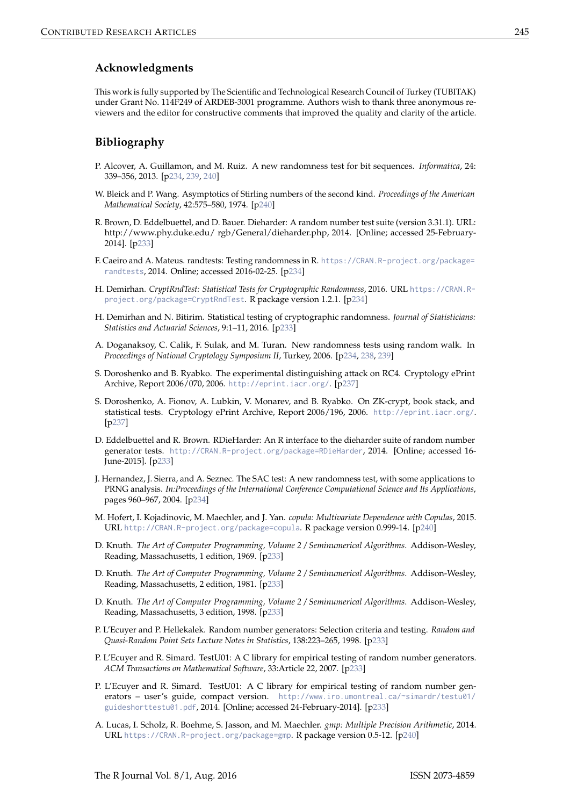## **Acknowledgments**

This work is fully supported by The Scientific and Technological Research Council of Turkey (TUBITAK) under Grant No. 114F249 of ARDEB-3001 programme. Authors wish to thank three anonymous reviewers and the editor for constructive comments that improved the quality and clarity of the article.

# **Bibliography**

- <span id="page-12-11"></span>P. Alcover, A. Guillamon, and M. Ruiz. A new randomness test for bit sequences. *Informatica*, 24: 339–356, 2013. [[p234,](#page-1-0) [239,](#page-6-0) [240\]](#page-7-1)
- <span id="page-12-17"></span>W. Bleick and P. Wang. Asymptotics of Stirling numbers of the second kind. *Proceedings of the American Mathematical Society*, 42:575–580, 1974. [[p240\]](#page-7-1)
- <span id="page-12-6"></span>R. Brown, D. Eddelbuettel, and D. Bauer. Dieharder: A random number test suite (version 3.31.1). URL: http://www.phy.duke.edu/ rgb/General/dieharder.php, 2014. [Online; accessed 25-February-2014]. [[p233\]](#page-0-0)
- <span id="page-12-12"></span>F. Caeiro and A. Mateus. randtests: Testing randomness in R. [https://CRAN.R-project.org/package=](https://CRAN.R-project.org/package=randtests) [randtests](https://CRAN.R-project.org/package=randtests), 2014. Online; accessed 2016-02-25. [[p234\]](#page-1-0)
- <span id="page-12-13"></span>H. Demirhan. *CryptRndTest: Statistical Tests for Cryptographic Randomness*, 2016. URL [https://CRAN.R](https://CRAN.R-project.org/package=CryptRndTest)[project.org/package=CryptRndTest](https://CRAN.R-project.org/package=CryptRndTest). R package version 1.2.1. [[p234\]](#page-1-0)
- <span id="page-12-2"></span>H. Demirhan and N. Bitirim. Statistical testing of cryptographic randomness. *Journal of Statisticians: Statistics and Actuarial Sciences*, 9:1–11, 2016. [[p233\]](#page-0-0)
- <span id="page-12-10"></span>A. Doganaksoy, C. Calik, F. Sulak, and M. Turan. New randomness tests using random walk. In *Proceedings of National Cryptology Symposium II*, Turkey, 2006. [[p234,](#page-1-0) [238,](#page-5-0) [239\]](#page-6-0)
- <span id="page-12-14"></span>S. Doroshenko and B. Ryabko. The experimental distinguishing attack on RC4. Cryptology ePrint Archive, Report 2006/070, 2006. <http://eprint.iacr.org/>. [[p237\]](#page-4-0)
- <span id="page-12-15"></span>S. Doroshenko, A. Fionov, A. Lubkin, V. Monarev, and B. Ryabko. On ZK-crypt, book stack, and statistical tests. Cryptology ePrint Archive, Report 2006/196, 2006. <http://eprint.iacr.org/>. [[p237\]](#page-4-0)
- <span id="page-12-7"></span>D. Eddelbuettel and R. Brown. RDieHarder: An R interface to the dieharder suite of random number generator tests. <http://CRAN.R-project.org/package=RDieHarder>, 2014. [Online; accessed 16- June-2015]. [[p233\]](#page-0-0)
- <span id="page-12-9"></span>J. Hernandez, J. Sierra, and A. Seznec. The SAC test: A new randomness test, with some applications to PRNG analysis. *In:Proceedings of the International Conference Computational Science and Its Applications*, pages 960–967, 2004. [[p234\]](#page-1-0)
- <span id="page-12-16"></span>M. Hofert, I. Kojadinovic, M. Maechler, and J. Yan. *copula: Multivariate Dependence with Copulas*, 2015. URL <http://CRAN.R-project.org/package=copula>. R package version 0.999-14. [[p240\]](#page-7-1)
- <span id="page-12-5"></span>D. Knuth. *The Art of Computer Programming, Volume 2 / Seminumerical Algorithms*. Addison-Wesley, Reading, Massachusetts, 1 edition, 1969. [[p233\]](#page-0-0)
- <span id="page-12-4"></span>D. Knuth. *The Art of Computer Programming, Volume 2 / Seminumerical Algorithms*. Addison-Wesley, Reading, Massachusetts, 2 edition, 1981. [[p233\]](#page-0-0)
- <span id="page-12-3"></span>D. Knuth. *The Art of Computer Programming, Volume 2 / Seminumerical Algorithms*. Addison-Wesley, Reading, Massachusetts, 3 edition, 1998. [[p233\]](#page-0-0)
- <span id="page-12-0"></span>P. L'Ecuyer and P. Hellekalek. Random number generators: Selection criteria and testing. *Random and Quasi-Random Point Sets Lecture Notes in Statistics*, 138:223–265, 1998. [[p233\]](#page-0-0)
- <span id="page-12-1"></span>P. L'Ecuyer and R. Simard. TestU01: A C library for empirical testing of random number generators. *ACM Transactions on Mathematical Software*, 33:Article 22, 2007. [[p233\]](#page-0-0)
- <span id="page-12-8"></span>P. L'Ecuyer and R. Simard. TestU01: A C library for empirical testing of random number generators – user's guide, compact version. [http://www.iro.umontreal.ca/~simardr/testu01/](http://www.iro.umontreal.ca/~simardr/testu01/guideshorttestu01.pdf) [guideshorttestu01.pdf](http://www.iro.umontreal.ca/~simardr/testu01/guideshorttestu01.pdf), 2014. [Online; accessed 24-February-2014]. [[p233\]](#page-0-0)
- <span id="page-12-18"></span>A. Lucas, I. Scholz, R. Boehme, S. Jasson, and M. Maechler. *gmp: Multiple Precision Arithmetic*, 2014. URL <https://CRAN.R-project.org/package=gmp>. R package version 0.5-12. [[p240\]](#page-7-1)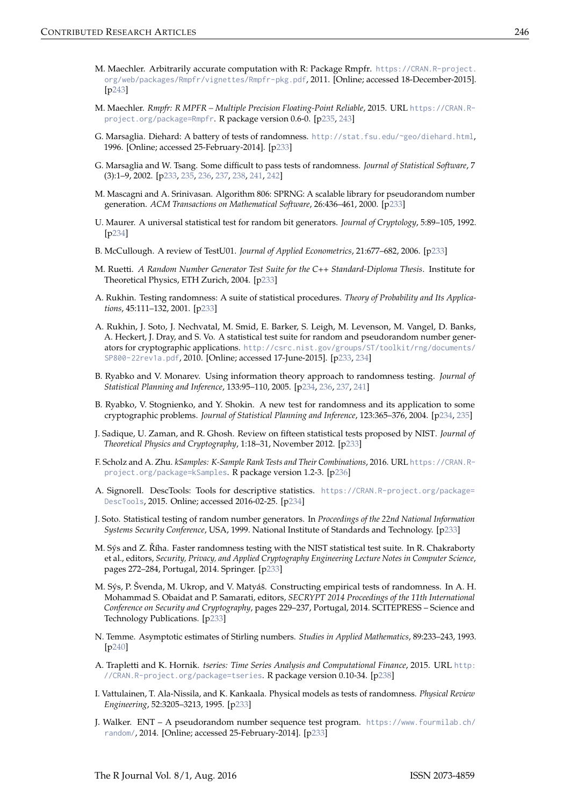- <span id="page-13-21"></span>M. Maechler. Arbitrarily accurate computation with R: Package Rmpfr. [https://CRAN.R-project.](https://CRAN.R-project.org/web/packages/Rmpfr/vignettes/Rmpfr-pkg.pdf) [org/web/packages/Rmpfr/vignettes/Rmpfr-pkg.pdf](https://CRAN.R-project.org/web/packages/Rmpfr/vignettes/Rmpfr-pkg.pdf), 2011. [Online; accessed 18-December-2015]. [[p243\]](#page-10-1)
- <span id="page-13-17"></span>M. Maechler. *Rmpfr: R MPFR – Multiple Precision Floating-Point Reliable*, 2015. URL [https://CRAN.R](https://CRAN.R-project.org/package=Rmpfr)[project.org/package=Rmpfr](https://CRAN.R-project.org/package=Rmpfr). R package version 0.6-0. [[p235,](#page-2-0) [243\]](#page-10-1)
- <span id="page-13-1"></span>G. Marsaglia. Diehard: A battery of tests of randomness. <http://stat.fsu.edu/~geo/diehard.html>, 1996. [Online; accessed 25-February-2014]. [[p233\]](#page-0-0)
- <span id="page-13-0"></span>G. Marsaglia and W. Tsang. Some difficult to pass tests of randomness. *Journal of Statistical Software*, 7 (3):1–9, 2002. [[p233,](#page-0-0) [235,](#page-2-0) [236,](#page-3-0) [237,](#page-4-0) [238,](#page-5-0) [241,](#page-8-1) [242\]](#page-9-2)
- <span id="page-13-11"></span>M. Mascagni and A. Srinivasan. Algorithm 806: SPRNG: A scalable library for pseudorandom number generation. *ACM Transactions on Mathematical Software*, 26:436–461, 2000. [[p233\]](#page-0-0)
- <span id="page-13-13"></span>U. Maurer. A universal statistical test for random bit generators. *Journal of Cryptology*, 5:89–105, 1992. [[p234\]](#page-1-0)
- <span id="page-13-8"></span>B. McCullough. A review of TestU01. *Journal of Applied Econometrics*, 21:677–682, 2006. [[p233\]](#page-0-0)
- <span id="page-13-12"></span>M. Ruetti. *A Random Number Generator Test Suite for the C++ Standard-Diploma Thesis*. Institute for Theoretical Physics, ETH Zurich, 2004. [[p233\]](#page-0-0)
- <span id="page-13-5"></span>A. Rukhin. Testing randomness: A suite of statistical procedures. *Theory of Probability and Its Applications*, 45:111–132, 2001. [[p233\]](#page-0-0)
- <span id="page-13-4"></span>A. Rukhin, J. Soto, J. Nechvatal, M. Smid, E. Barker, S. Leigh, M. Levenson, M. Vangel, D. Banks, A. Heckert, J. Dray, and S. Vo. A statistical test suite for random and pseudorandom number generators for cryptographic applications. [http://csrc.nist.gov/groups/ST/toolkit/rng/documents/](http://csrc.nist.gov/groups/ST/toolkit/rng/documents/SP800-22rev1a.pdf) [SP800-22rev1a.pdf](http://csrc.nist.gov/groups/ST/toolkit/rng/documents/SP800-22rev1a.pdf), 2010. [Online; accessed 17-June-2015]. [[p233,](#page-0-0) [234\]](#page-1-0)
- <span id="page-13-15"></span>B. Ryabko and V. Monarev. Using information theory approach to randomness testing. *Journal of Statistical Planning and Inference*, 133:95–110, 2005. [[p234,](#page-1-0) [236,](#page-3-0) [237,](#page-4-0) [241\]](#page-8-1)
- <span id="page-13-14"></span>B. Ryabko, V. Stognienko, and Y. Shokin. A new test for randomness and its application to some cryptographic problems. *Journal of Statistical Planning and Inference*, 123:365–376, 2004. [[p234,](#page-1-0) [235\]](#page-2-0)
- <span id="page-13-7"></span>J. Sadique, U. Zaman, and R. Ghosh. Review on fifteen statistical tests proposed by NIST. *Journal of Theoretical Physics and Cryptography*, 1:18–31, November 2012. [[p233\]](#page-0-0)
- <span id="page-13-18"></span>F. Scholz and A. Zhu. *kSamples: K-Sample Rank Tests and Their Combinations*, 2016. URL [https://CRAN.R](https://CRAN.R-project.org/package=kSamples)[project.org/package=kSamples](https://CRAN.R-project.org/package=kSamples). R package version 1.2-3. [[p236\]](#page-3-0)
- <span id="page-13-16"></span>A. Signorell. DescTools: Tools for descriptive statistics. [https://CRAN.R-project.org/package=](https://CRAN.R-project.org/package=DescTools) [DescTools](https://CRAN.R-project.org/package=DescTools), 2015. Online; accessed 2016-02-25. [[p234\]](#page-1-0)
- <span id="page-13-6"></span>J. Soto. Statistical testing of random number generators. In *Proceedings of the 22nd National Information Systems Security Conference*, USA, 1999. National Institute of Standards and Technology. [[p233\]](#page-0-0)
- <span id="page-13-3"></span>M. Sýs and Z. Říha. Faster randomness testing with the NIST statistical test suite. In R. Chakraborty et al., editors, *Security, Privacy, and Applied Cryptography Engineering Lecture Notes in Computer Science*, pages 272–284, Portugal, 2014. Springer. [[p233\]](#page-0-0)
- <span id="page-13-2"></span>M. Sýs, P. Švenda, M. Ukrop, and V. Matyáš. Constructing empirical tests of randomness. In A. H. Mohammad S. Obaidat and P. Samarati, editors, *SECRYPT 2014 Proceedings of the 11th International Conference on Security and Cryptography*, pages 229–237, Portugal, 2014. SCITEPRESS – Science and Technology Publications. [[p233\]](#page-0-0)
- <span id="page-13-20"></span>N. Temme. Asymptotic estimates of Stirling numbers. *Studies in Applied Mathematics*, 89:233–243, 1993. [[p240\]](#page-7-1)
- <span id="page-13-19"></span>A. Trapletti and K. Hornik. *tseries: Time Series Analysis and Computational Finance*, 2015. URL [http:](http://CRAN.R-project.org/package=tseries) [//CRAN.R-project.org/package=tseries](http://CRAN.R-project.org/package=tseries). R package version 0.10-34. [[p238\]](#page-5-0)
- <span id="page-13-10"></span>I. Vattulainen, T. Ala-Nissila, and K. Kankaala. Physical models as tests of randomness. *Physical Review Engineering*, 52:3205–3213, 1995. [[p233\]](#page-0-0)
- <span id="page-13-9"></span>J. Walker. ENT – A pseudorandom number sequence test program. [https://www.fourmilab.ch/](https://www.fourmilab.ch/random/) [random/](https://www.fourmilab.ch/random/), 2014. [Online; accessed 25-February-2014]. [[p233\]](#page-0-0)